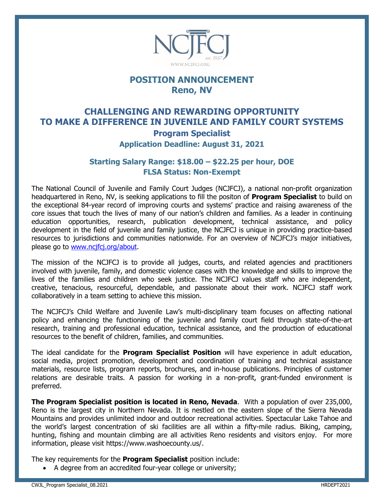

## **POSITION ANNOUNCEMENT Reno, NV**

## **CHALLENGING AND REWARDING OPPORTUNITY TO MAKE A DIFFERENCE IN JUVENILE AND FAMILY COURT SYSTEMS Program Specialist**

**Application Deadline: August 31, 2021**

### **Starting Salary Range: \$18.00 – \$22.25 per hour, DOE FLSA Status: Non-Exempt**

The National Council of Juvenile and Family Court Judges (NCJFCJ), a national non-profit organization headquartered in Reno, NV, is seeking applications to fill the positon of **Program Specialist** to build on the exceptional 84-year record of improving courts and systems' practice and raising awareness of the core issues that touch the lives of many of our nation's children and families. As a leader in continuing education opportunities, research, publication development, technical assistance, and policy development in the field of juvenile and family justice, the NCJFCJ is unique in providing practice-based resources to jurisdictions and communities nationwide. For an overview of NCJFCJ's major initiatives, please go to [www.ncjfcj.org/about.](http://www.ncjfcj.org/about)

The mission of the NCJFCJ is to provide all judges, courts, and related agencies and practitioners involved with juvenile, family, and domestic violence cases with the knowledge and skills to improve the lives of the families and children who seek justice. The NCJFCJ values staff who are independent, creative, tenacious, resourceful, dependable, and passionate about their work. NCJFCJ staff work collaboratively in a team setting to achieve this mission.

The NCJFCJ's Child Welfare and Juvenile Law's multi-disciplinary team focuses on affecting national policy and enhancing the functioning of the juvenile and family court field through state-of-the-art research, training and professional education, technical assistance, and the production of educational resources to the benefit of children, families, and communities.

The ideal candidate for the **Program Specialist Position** will have experience in adult education, social media, project promotion, development and coordination of training and technical assistance materials, resource lists, program reports, brochures, and in-house publications. Principles of customer relations are desirable traits. A passion for working in a non-profit, grant-funded environment is preferred.

**The Program Specialist position is located in Reno, Nevada**. With a population of over 235,000, Reno is the largest city in Northern Nevada. It is nestled on the eastern slope of the Sierra Nevada Mountains and provides unlimited indoor and outdoor recreational activities. Spectacular Lake Tahoe and the world's largest concentration of ski facilities are all within a fifty-mile radius. Biking, camping, hunting, fishing and mountain climbing are all activities Reno residents and visitors enjoy. For more information, please visit https://www.washoecounty.us/.

The key requirements for the **Program Specialist** position include:

• A degree from an accredited four-year college or university;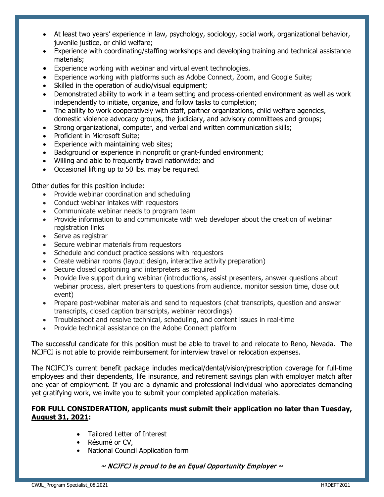- At least two years' experience in law, psychology, sociology, social work, organizational behavior, juvenile justice, or child welfare;
- Experience with coordinating/staffing workshops and developing training and technical assistance materials;
- Experience working with webinar and virtual event technologies.
- Experience working with platforms such as Adobe Connect, Zoom, and Google Suite;
- Skilled in the operation of audio/visual equipment;
- Demonstrated ability to work in a team setting and process-oriented environment as well as work independently to initiate, organize, and follow tasks to completion;
- The ability to work cooperatively with staff, partner organizations, child welfare agencies, domestic violence advocacy groups, the judiciary, and advisory committees and groups;
- Strong organizational, computer, and verbal and written communication skills;
- Proficient in Microsoft Suite;
- Experience with maintaining web sites;
- Background or experience in nonprofit or grant-funded environment:
- Willing and able to frequently travel nationwide; and
- Occasional lifting up to 50 lbs. may be required.

Other duties for this position include:

- Provide webinar coordination and scheduling
- Conduct webinar intakes with requestors
- Communicate webinar needs to program team
- Provide information to and communicate with web developer about the creation of webinar registration links
- Serve as registrar
- Secure webinar materials from requestors
- Schedule and conduct practice sessions with requestors
- Create webinar rooms (layout design, interactive activity preparation)
- Secure closed captioning and interpreters as required
- Provide live support during webinar (introductions, assist presenters, answer questions about webinar process, alert presenters to questions from audience, monitor session time, close out event)
- Prepare post-webinar materials and send to requestors (chat transcripts, question and answer transcripts, closed caption transcripts, webinar recordings)
- Troubleshoot and resolve technical, scheduling, and content issues in real-time
- Provide technical assistance on the Adobe Connect platform

The successful candidate for this position must be able to travel to and relocate to Reno, Nevada. The NCJFCJ is not able to provide reimbursement for interview travel or relocation expenses.

The NCJFCJ's current benefit package includes medical/dental/vision/prescription coverage for full-time employees and their dependents, life insurance, and retirement savings plan with employer match after one year of employment. If you are a dynamic and professional individual who appreciates demanding yet gratifying work, we invite you to submit your completed application materials.

#### **FOR FULL CONSIDERATION, applicants must submit their application no later than Tuesday, August 31, 2021:**

- Tailored Letter of Interest
- Résumé or CV,
- National Council Application form

 $\sim$  NCJFCJ is proud to be an Equal Opportunity Employer  $\sim$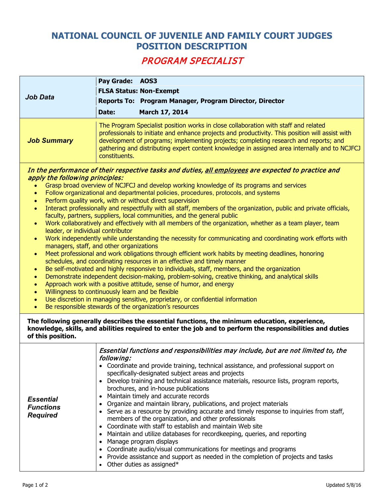# **NATIONAL COUNCIL OF JUVENILE AND FAMILY COURT JUDGES POSITION DESCRIPTION**

# PROGRAM SPECIALIST

| Job Data           | Pay Grade: AOS3<br>Date: | <b>FLSA Status: Non-Exempt</b><br>Reports To: Program Manager, Program Director, Director<br>March 17, 2014                                                                                                                                                                                                                                                                     |
|--------------------|--------------------------|---------------------------------------------------------------------------------------------------------------------------------------------------------------------------------------------------------------------------------------------------------------------------------------------------------------------------------------------------------------------------------|
| <b>Job Summary</b> | constituents.            | The Program Specialist position works in close collaboration with staff and related<br>professionals to initiate and enhance projects and productivity. This position will assist with<br>development of programs; implementing projects; completing research and reports; and<br>gathering and distributing expert content knowledge in assigned area internally and to NCJFCJ |

#### In the performance of their respective tasks and duties, all employees are expected to practice and apply the following principles:

- Grasp broad overview of NCJFCJ and develop working knowledge of its programs and services <br>• Follow organizational and departmental policies, procedures, protocols, and systems
- Follow organizational and departmental policies, procedures, protocols, and systems
- Perform quality work, with or without direct supervision
- Interact professionally and respectfully with all staff, members of the organization, public and private officials, faculty, partners, suppliers, local communities, and the general public
- Work collaboratively and effectively with all members of the organization, whether as a team player, team leader, or individual contributor
- Work independently while understanding the necessity for communicating and coordinating work efforts with managers, staff, and other organizations
- Meet professional and work obligations through efficient work habits by meeting deadlines, honoring schedules, and coordinating resources in an effective and timely manner
- Be self-motivated and highly responsive to individuals, staff, members, and the organization
- Demonstrate independent decision-making, problem-solving, creative thinking, and analytical skills
- Approach work with a positive attitude, sense of humor, and energy
- Willingness to continuously learn and be flexible
- Use discretion in managing sensitive, proprietary, or confidential information
- Be responsible stewards of the organization's resources

**The following generally describes the essential functions, the minimum education, experience, knowledge, skills, and abilities required to enter the job and to perform the responsibilities and duties of this position.**

| Maintain timely and accurate records<br><b>Essential</b><br>Organize and maintain library, publications, and project materials<br>$\bullet$<br><b>Functions</b><br>Serve as a resource by providing accurate and timely response to inquiries from staff,<br><b>Required</b><br>members of the organization, and other professionals<br>Coordinate with staff to establish and maintain Web site<br>• Maintain and utilize databases for recordkeeping, queries, and reporting<br>Manage program displays<br>• Coordinate audio/visual communications for meetings and programs<br>• Provide assistance and support as needed in the completion of projects and tasks<br>Other duties as assigned* | Essential functions and responsibilities may include, but are not limited to, the<br>• Develop training and technical assistance materials, resource lists, program reports, |
|----------------------------------------------------------------------------------------------------------------------------------------------------------------------------------------------------------------------------------------------------------------------------------------------------------------------------------------------------------------------------------------------------------------------------------------------------------------------------------------------------------------------------------------------------------------------------------------------------------------------------------------------------------------------------------------------------|------------------------------------------------------------------------------------------------------------------------------------------------------------------------------|
|----------------------------------------------------------------------------------------------------------------------------------------------------------------------------------------------------------------------------------------------------------------------------------------------------------------------------------------------------------------------------------------------------------------------------------------------------------------------------------------------------------------------------------------------------------------------------------------------------------------------------------------------------------------------------------------------------|------------------------------------------------------------------------------------------------------------------------------------------------------------------------------|